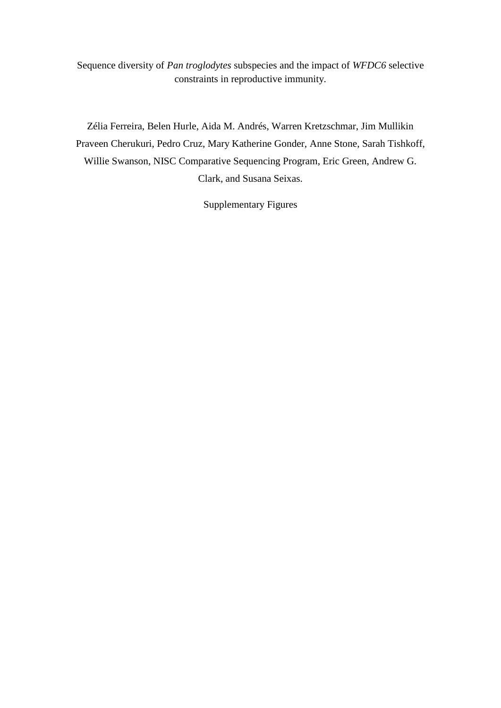Sequence diversity of *Pan troglodytes* subspecies and the impact of *WFDC6* selective constraints in reproductive immunity.

Zélia Ferreira, Belen Hurle, Aida M. Andrés, Warren Kretzschmar, Jim Mullikin Praveen Cherukuri, Pedro Cruz, Mary Katherine Gonder, Anne Stone, Sarah Tishkoff, Willie Swanson, NISC Comparative Sequencing Program, Eric Green, Andrew G. Clark, and Susana Seixas.

Supplementary Figures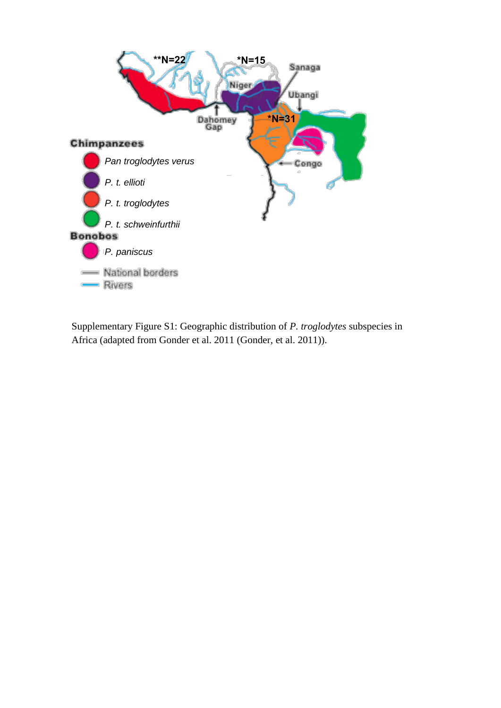

Supplementary Figure S1: Geographic distribution of *P. troglodytes* subspecies in Africa (adapted from Gonder et al. 2011 [\(Gonder, et al. 2011\)](#page-9-0)).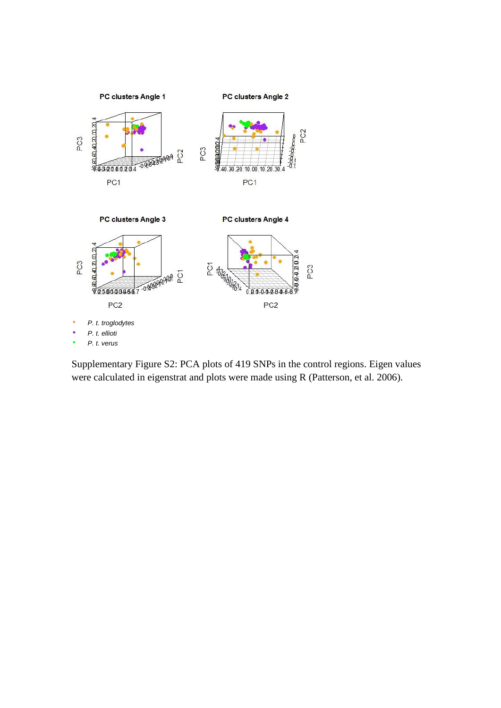

Supplementary Figure S2: PCA plots of 419 SNPs in the control regions. Eigen values were calculated in eigenstrat and plots were made using R [\(Patterson, et al. 2006\)](#page-9-1).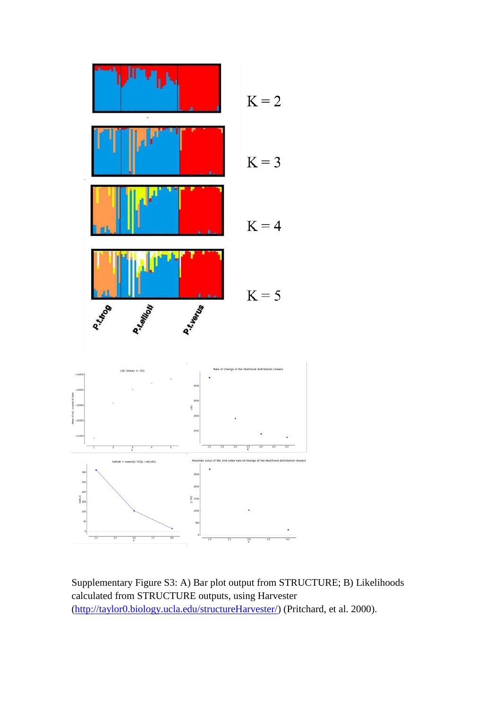

Supplementary Figure S3: A) Bar plot output from STRUCTURE; B) Likelihoods calculated from STRUCTURE outputs, using Harvester [\(http://taylor0.biology.ucla.edu/structureHarvester/\)](http://taylor0.biology.ucla.edu/structureHarvester/) [\(Pritchard, et al. 2000\)](#page-9-2).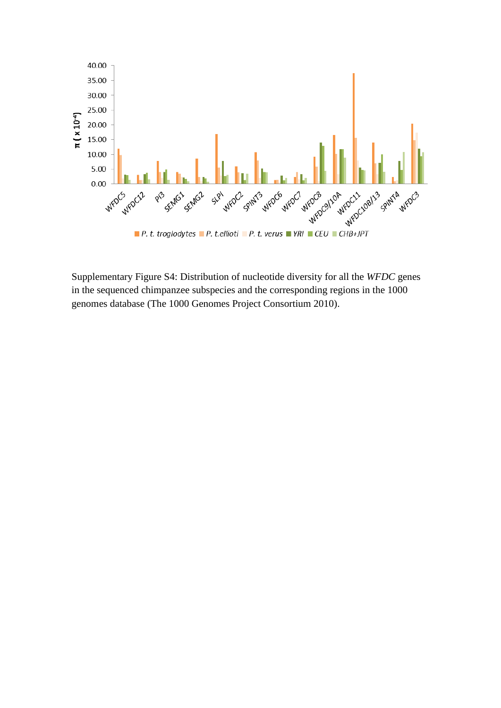

Supplementary Figure S4: Distribution of nucleotide diversity for all the *WFDC* genes in the sequenced chimpanzee subspecies and the corresponding regions in the 1000 genomes database [\(The 1000 Genomes Project Consortium 2010\)](#page-9-3).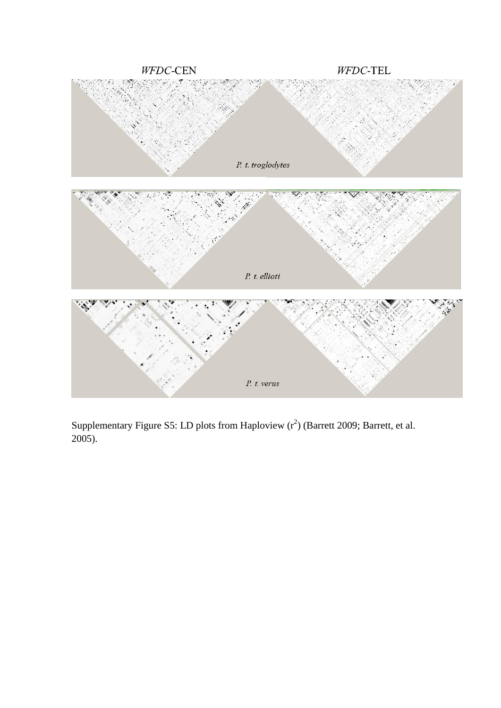

Supplementary Figure S5: LD plots from Haploview  $(r^2)$  [\(Barrett 2009;](#page-9-4) Barrett, et al. [2005\)](#page-9-5).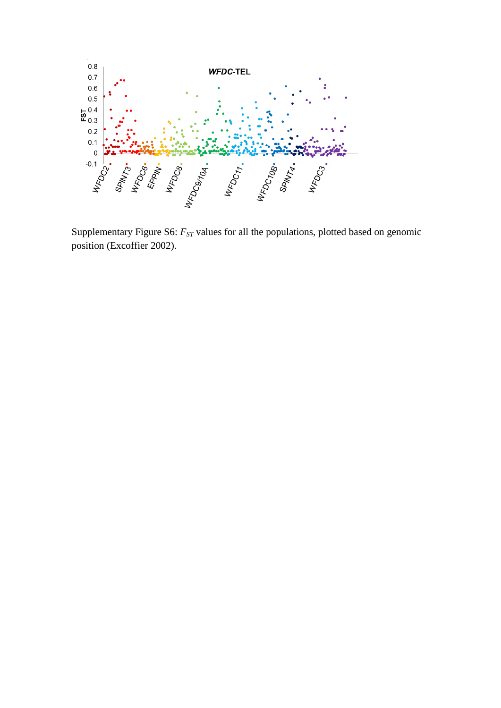

Supplementary Figure S6: *FST* values for all the populations, plotted based on genomic position [\(Excoffier 2002\)](#page-9-6).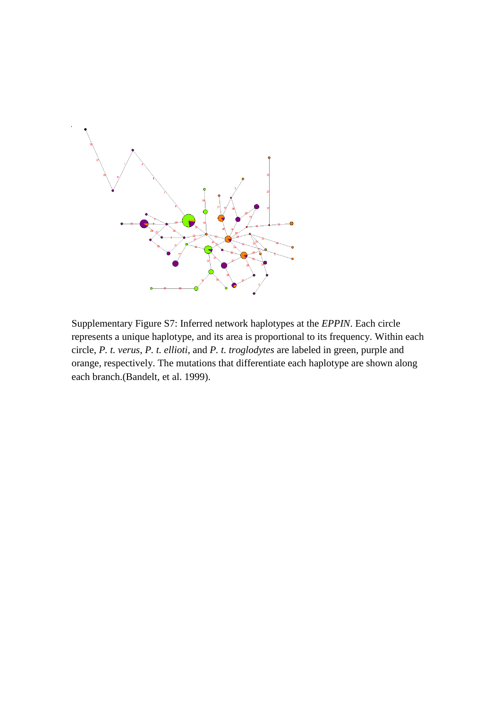

Supplementary Figure S7: Inferred network haplotypes at the *EPPIN*. Each circle represents a unique haplotype, and its area is proportional to its frequency. Within each circle, *P. t. verus*, *P. t. ellioti*, and *P. t. troglodytes* are labeled in green, purple and orange, respectively. The mutations that differentiate each haplotype are shown along each branch.[\(Bandelt, et al. 1999\)](#page-9-7).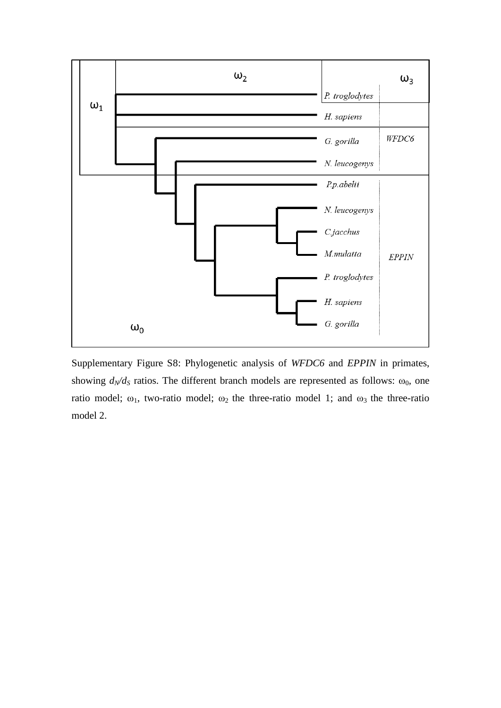

Supplementary Figure S8: Phylogenetic analysis of *WFDC6* and *EPPIN* in primates, showing  $d_N/d_S$  ratios. The different branch models are represented as follows:  $\omega_0$ , one ratio model;  $\omega_1$ , two-ratio model;  $\omega_2$  the three-ratio model 1; and  $\omega_3$  the three-ratio model 2.